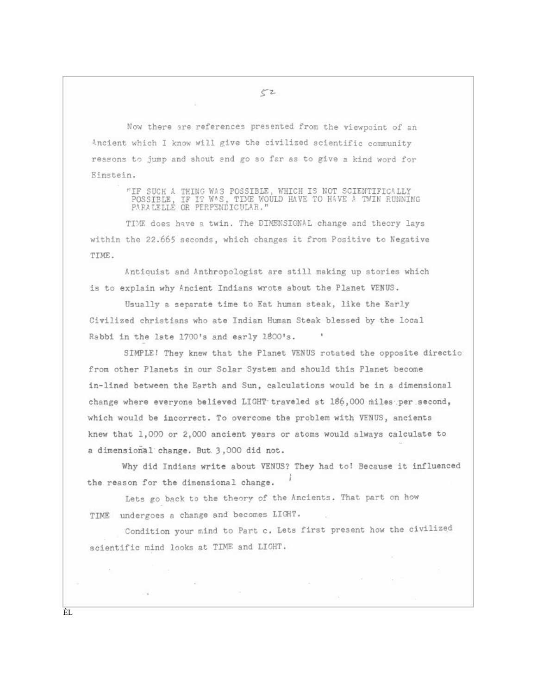Now there are references presented from the viewpoint of an Ancient which I know will give the civilized scientific community reasons to jump and shout and go so far as to give a kind word for Einstein.

"IF SUCH A THING WAS POSSIBLE, WHICH IS NOT SCIENTIFICALLY POSSIBLE, IF IT WAS, TIME WOULD HAVE TO HAVE A TWIN RUNNING PARALELLE OR PERPSNDICULAR."

TIME does have a twin. The DIMENSIONAL change and theory lays within the 22.665 seconds, which changes it from Positive to Negative TIME.

Antiquist and Anthropologist are still making up stories which is to explain why Ancient Indians wrote about the Planet VENUS.

Usually a separate time to Eat human steak, like the Early Civilized christians who ate Indian Human Steak blessed by the local Rabbi in the late 1700's and early 1800's.

SIMPLE! They knew that the Planet VENUS rotated the opposite directio from other Planets in our Solar System and should this Planet become in-lined between the Earth and Sun, calculations would be in a dimensional change where everyone believed LIGHT traveled at 186,000 miles per second, which would be incorrect. To overcome the problem with VENUS, ancients knew that 1,000 or 2,000 ancient years or atoms would always calculate to a dimensional change. But 3,000 did not.

Why did Indians write about VENUS? They had to! Because it influenced the reason for the dimensional change.

Lets go back to the theory of the Ancients. That part on how TIME undergoes a change and becomes LIGHT.

Condition your mind to Part c. Lets first present how the civilized scientific mind looks at TIME and LIGHT.

◎ →

 $52$ 

×